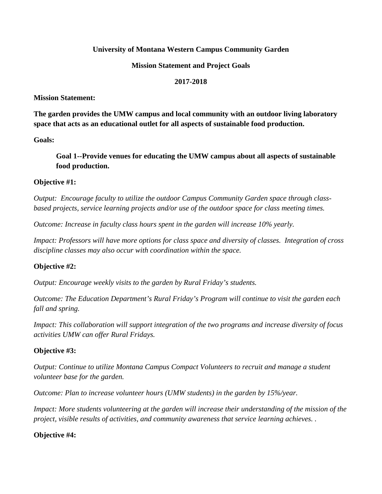### **University of Montana Western Campus Community Garden**

#### **Mission Statement and Project Goals**

#### **2017-2018**

**Mission Statement:**

**The garden provides the UMW campus and local community with an outdoor living laboratory space that acts as an educational outlet for all aspects of sustainable food production.**

**Goals:**

**Goal 1--Provide venues for educating the UMW campus about all aspects of sustainable food production.**

### **Objective #1:**

*Output: Encourage faculty to utilize the outdoor Campus Community Garden space through classbased projects, service learning projects and/or use of the outdoor space for class meeting times.*

*Outcome: Increase in faculty class hours spent in the garden will increase 10% yearly.*

*Impact: Professors will have more options for class space and diversity of classes. Integration of cross discipline classes may also occur with coordination within the space.*

### **Objective #2:**

*Output: Encourage weekly visits to the garden by Rural Friday's students.*

*Outcome: The Education Department's Rural Friday's Program will continue to visit the garden each fall and spring.*

*Impact: This collaboration will support integration of the two programs and increase diversity of focus activities UMW can offer Rural Fridays.*

### **Objective #3:**

*Output: Continue to utilize Montana Campus Compact Volunteers to recruit and manage a student volunteer base for the garden.*

*Outcome: Plan to increase volunteer hours (UMW students) in the garden by 15%/year.*

*Impact: More students volunteering at the garden will increase their understanding of the mission of the project, visible results of activities, and community awareness that service learning achieves. .*

### **Objective #4:**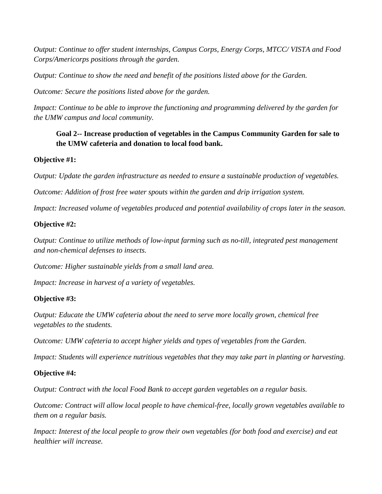*Output: Continue to offer student internships, Campus Corps, Energy Corps, MTCC/ VISTA and Food Corps/Americorps positions through the garden.*

*Output: Continue to show the need and benefit of the positions listed above for the Garden.*

*Outcome: Secure the positions listed above for the garden.*

*Impact: Continue to be able to improve the functioning and programming delivered by the garden for the UMW campus and local community.*

# **Goal 2-- Increase production of vegetables in the Campus Community Garden for sale to the UMW cafeteria and donation to local food bank.**

## **Objective #1:**

*Output: Update the garden infrastructure as needed to ensure a sustainable production of vegetables.*

*Outcome: Addition of frost free water spouts within the garden and drip irrigation system.*

*Impact: Increased volume of vegetables produced and potential availability of crops later in the season.*

## **Objective #2:**

*Output: Continue to utilize methods of low-input farming such as no-till, integrated pest management and non-chemical defenses to insects.*

*Outcome: Higher sustainable yields from a small land area.*

*Impact: Increase in harvest of a variety of vegetables.*

# **Objective #3:**

*Output: Educate the UMW cafeteria about the need to serve more locally grown, chemical free vegetables to the students.*

*Outcome: UMW cafeteria to accept higher yields and types of vegetables from the Garden.*

*Impact: Students will experience nutritious vegetables that they may take part in planting or harvesting.*

# **Objective #4:**

*Output: Contract with the local Food Bank to accept garden vegetables on a regular basis.*

*Outcome: Contract will allow local people to have chemical-free, locally grown vegetables available to them on a regular basis.*

*Impact: Interest of the local people to grow their own vegetables (for both food and exercise) and eat healthier will increase.*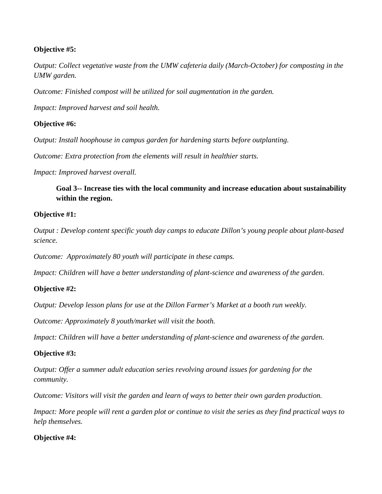### **Objective #5:**

*Output: Collect vegetative waste from the UMW cafeteria daily (March-October) for composting in the UMW garden.*

*Outcome: Finished compost will be utilized for soil augmentation in the garden.* 

*Impact: Improved harvest and soil health.* 

# **Objective #6:**

*Output: Install hoophouse in campus garden for hardening starts before outplanting.*

*Outcome: Extra protection from the elements will result in healthier starts.*

*Impact: Improved harvest overall.*

**Goal 3-- Increase ties with the local community and increase education about sustainability within the region.**

## **Objective #1:**

*Output : Develop content specific youth day camps to educate Dillon's young people about plant-based science.*

*Outcome: Approximately 80 youth will participate in these camps.*

*Impact: Children will have a better understanding of plant-science and awareness of the garden.*

# **Objective #2:**

*Output: Develop lesson plans for use at the Dillon Farmer's Market at a booth run weekly.*

*Outcome: Approximately 8 youth/market will visit the booth.*

*Impact: Children will have a better understanding of plant-science and awareness of the garden.*

# **Objective #3:**

*Output: Offer a summer adult education series revolving around issues for gardening for the community.*

*Outcome: Visitors will visit the garden and learn of ways to better their own garden production.*

*Impact: More people will rent a garden plot or continue to visit the series as they find practical ways to help themselves.*

# **Objective #4:**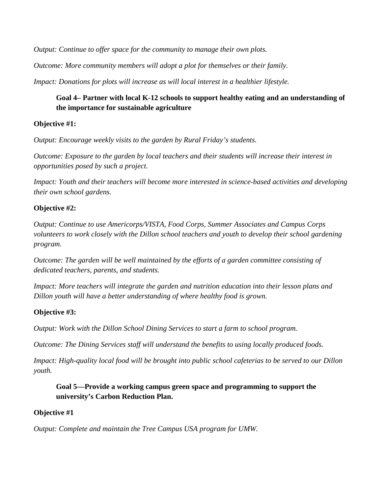*Output: Continue to offer space for the community to manage their own plots.* 

*Outcome: More community members will adopt a plot for themselves or their family.*

*Impact: Donations for plots will increase as will local interest in a healthier lifestyle.*

# **Goal 4– Partner with local K-12 schools to support healthy eating and an understanding of the importance for sustainable agriculture**

### **Objective #1:**

*Output: Encourage weekly visits to the garden by Rural Friday's students.*

*Outcome: Exposure to the garden by local teachers and their students will increase their interest in opportunities posed by such a project.*

*Impact: Youth and their teachers will become more interested in science-based activities and developing their own school gardens.*

## **Objective #2:**

*Output: Continue to use Americorps/VISTA, Food Corps, Summer Associates and Campus Corps volunteers to work closely with the Dillon school teachers and youth to develop their school gardening program.*

*Outcome: The garden will be well maintained by the efforts of a garden committee consisting of dedicated teachers, parents, and students.*

*Impact: More teachers will integrate the garden and nutrition education into their lesson plans and Dillon youth will have a better understanding of where healthy food is grown.*

### **Objective #3:**

*Output: Work with the Dillon School Dining Services to start a farm to school program.*

*Outcome: The Dining Services staff will understand the benefits to using locally produced foods.*

*Impact: High-quality local food will be brought into public school cafeterias to be served to our Dillon youth.*

## **Goal 5—Provide a working campus green space and programming to support the university's Carbon Reduction Plan.**

### **Objective #1**

*Output: Complete and maintain the Tree Campus USA program for UMW.*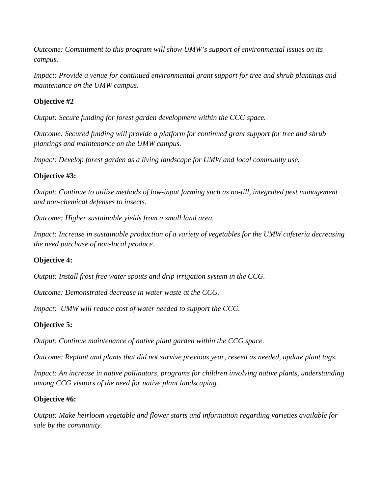*Outcome: Commitment to this program will show UMW's support of environmental issues on its campus.*

*Impact: Provide a venue for continued environmental grant support for tree and shrub plantings and maintenance on the UMW campus.*

# **Objective #2**

*Output: Secure funding for forest garden development within the CCG space.*

*Outcome: Secured funding will provide a platform for continued grant support for tree and shrub plantings and maintenance on the UMW campus.*

*Impact: Develop forest garden as a living landscape for UMW and local community use.* 

## **Objective #3:**

*Output: Continue to utilize methods of low-input farming such as no-till, integrated pest management and non-chemical defenses to insects.*

*Outcome: Higher sustainable yields from a small land area.*

*Impact: Increase in sustainable production of a variety of vegetables for the UMW cafeteria decreasing the need purchase of non-local produce.*

# **Objective 4:**

*Output: Install frost free water spouts and drip irrigation system in the CCG.*

*Outcome: Demonstrated decrease in water waste at the CCG.*

*Impact: UMW will reduce cost of water needed to support the CCG.*

# **Objective 5:**

*Output: Continue maintenance of native plant garden within the CCG space.*

*Outcome: Replant and plants that did not survive previous year, reseed as needed, update plant tags.*

*Impact: An increase in native pollinators, programs for children involving native plants, understanding among CCG visitors of the need for native plant landscaping.*

### **Objective #6:**

*Output: Make heirloom vegetable and flower starts and information regarding varieties available for sale by the community.*